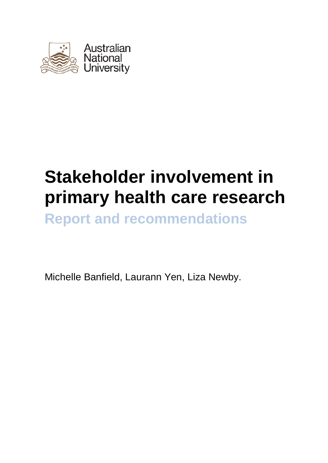

# **Stakeholder involvement in primary health care research**

**Report and recommendations**

Michelle Banfield, Laurann Yen, Liza Newby.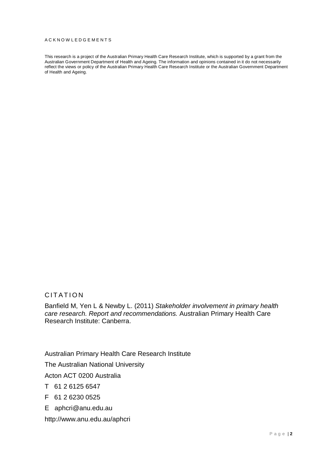#### ACKNOWLEDGEMENTS

This research is a project of the Australian Primary Health Care Research Institute, which is supported by a grant from the Australian Government Department of Health and Ageing. The information and opinions contained in it do not necessarily reflect the views or policy of the Australian Primary Health Care Research Institute or the Australian Government Department of Health and Ageing.

#### CITATION

Banfield M, Yen L & Newby L. (2011) *Stakeholder involvement in primary health care research. Report and recommendations.* Australian Primary Health Care Research Institute: Canberra.

Australian Primary Health Care Research Institute

The Australian National University

Acton ACT 0200 Australia

- T 61 2 6125 6547
- F 61 2 6230 0525
- E aphcri@anu.edu.au

http://www.anu.edu.au/aphcri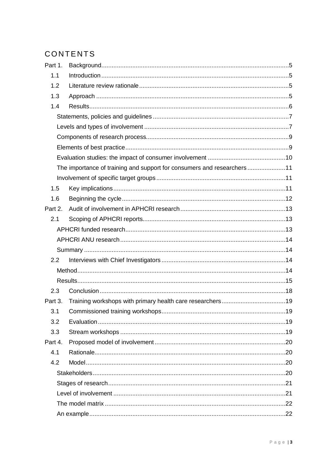# CONTENTS

| Part 1. |                                                                         |  |  |  |  |  |
|---------|-------------------------------------------------------------------------|--|--|--|--|--|
| 1.1     |                                                                         |  |  |  |  |  |
| 1.2     |                                                                         |  |  |  |  |  |
| 1.3     |                                                                         |  |  |  |  |  |
| 1.4     |                                                                         |  |  |  |  |  |
|         |                                                                         |  |  |  |  |  |
|         |                                                                         |  |  |  |  |  |
|         |                                                                         |  |  |  |  |  |
|         |                                                                         |  |  |  |  |  |
|         |                                                                         |  |  |  |  |  |
|         | The importance of training and support for consumers and researchers 11 |  |  |  |  |  |
|         |                                                                         |  |  |  |  |  |
| 1.5     |                                                                         |  |  |  |  |  |
| 1.6     |                                                                         |  |  |  |  |  |
| Part 2. |                                                                         |  |  |  |  |  |
| 2.1     |                                                                         |  |  |  |  |  |
|         |                                                                         |  |  |  |  |  |
|         |                                                                         |  |  |  |  |  |
|         |                                                                         |  |  |  |  |  |
| 2.2     |                                                                         |  |  |  |  |  |
|         |                                                                         |  |  |  |  |  |
|         |                                                                         |  |  |  |  |  |
| 2.3     |                                                                         |  |  |  |  |  |
| Part 3. |                                                                         |  |  |  |  |  |
| 3.1     |                                                                         |  |  |  |  |  |
| 3.2     |                                                                         |  |  |  |  |  |
| 3.3     |                                                                         |  |  |  |  |  |
| Part 4. |                                                                         |  |  |  |  |  |
| 4.1     |                                                                         |  |  |  |  |  |
| 4.2     |                                                                         |  |  |  |  |  |
|         |                                                                         |  |  |  |  |  |
|         |                                                                         |  |  |  |  |  |
|         |                                                                         |  |  |  |  |  |
|         |                                                                         |  |  |  |  |  |
|         |                                                                         |  |  |  |  |  |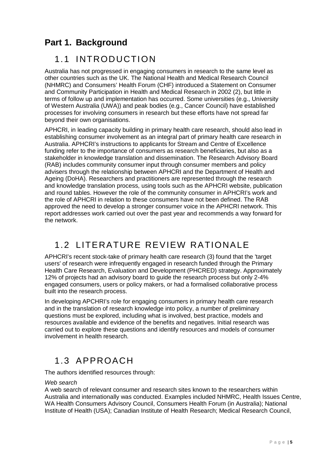# <span id="page-4-0"></span>**Part 1. Background**

### <span id="page-4-1"></span>1.1 INTRODUCTION

Australia has not progressed in engaging consumers in research to the same level as other countries such as the UK. The National Health and Medical Research Council (NHMRC) and Consumers' Health Forum (CHF) introduced a Statement on Consumer and Community Participation in Health and Medical Research in 2002 [\(2\)](#page-26-1), but little in terms of follow up and implementation has occurred. Some universities (e.g., University of Western Australia (UWA)) and peak bodies (e.g., Cancer Council) have established processes for involving consumers in research but these efforts have not spread far beyond their own organisations.

APHCRI, in leading capacity building in primary health care research, should also lead in establishing consumer involvement as an integral part of primary health care research in Australia. APHCRI's instructions to applicants for Stream and Centre of Excellence funding refer to the importance of consumers as research beneficiaries, but also as a stakeholder in knowledge translation and dissemination. The Research Advisory Board (RAB) includes community consumer input through consumer members and policy advisers through the relationship between APHCRI and the Department of Health and Ageing (DoHA). Researchers and practitioners are represented through the research and knowledge translation process, using tools such as the APHCRI website, publication and round tables. However the role of the community consumer in APHCRI's work and the role of APHCRI in relation to these consumers have not been defined. The RAB approved the need to develop a stronger consumer voice in the APHCRI network. This report addresses work carried out over the past year and recommends a way forward for the network.

# <span id="page-4-2"></span>1.2 LITERATURE REVIEW RATIONALE

APHCRI's recent stock-take of primary health care research [\(3\)](#page-26-2) found that the 'target users' of research were infrequently engaged in research funded through the Primary Health Care Research, Evaluation and Development (PHCRED) strategy. Approximately 12% of projects had an advisory board to guide the research process but only 2-4% engaged consumers, users or policy makers, or had a formalised collaborative process built into the research process.

In developing APCHRI's role for engaging consumers in primary health care research and in the translation of research knowledge into policy, a number of preliminary questions must be explored, including what is involved, best practice, models and resources available and evidence of the benefits and negatives. Initial research was carried out to explore these questions and identify resources and models of consumer involvement in health research.

### <span id="page-4-3"></span>1.3 APPROACH

The authors identified resources through:

#### *Web search*

A web search of relevant consumer and research sites known to the researchers within Australia and internationally was conducted. Examples included NHMRC, Health Issues Centre, WA Health Consumers Advisory Council, Consumers Health Forum (in Australia); National Institute of Health (USA); Canadian Institute of Health Research; Medical Research Council,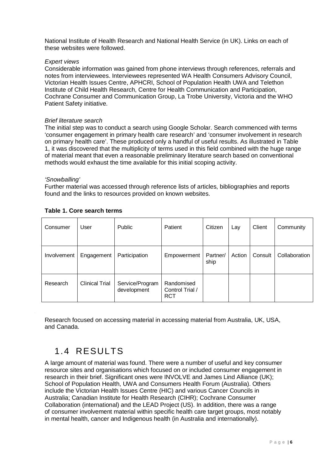National Institute of Health Research and National Health Service (in UK). Links on each of these websites were followed.

#### *Expert views*

Considerable information was gained from phone interviews through references, referrals and notes from interviewees. Interviewees represented WA Health Consumers Advisory Council, Victorian Health Issues Centre, APHCRI, School of Population Health UWA and Telethon Institute of Child Health Research, Centre for Health Communication and Participation, Cochrane Consumer and Communication Group, La Trobe University, Victoria and the WHO Patient Safety initiative.

#### *Brief literature search*

The initial step was to conduct a search using Google Scholar. Search commenced with terms 'consumer engagement in primary health care research' and 'consumer involvement in research on primary health care'. These produced only a handful of useful results. As illustrated in Table 1, it was discovered that the multiplicity of terms used in this field combined with the huge range of material meant that even a reasonable preliminary literature search based on conventional methods would exhaust the time available for this initial scoping activity.

#### *'Snowballing'*

Further material was accessed through reference lists of articles, bibliographies and reports found and the links to resources provided on known websites.

| Consumer    | User                  | <b>Public</b>                  | Patient                                     | Citizen          | Lay    | Client  | Community     |
|-------------|-----------------------|--------------------------------|---------------------------------------------|------------------|--------|---------|---------------|
| Involvement | Engagement            | Participation                  | Empowerment                                 | Partner/<br>ship | Action | Consult | Collaboration |
| Research    | <b>Clinical Trial</b> | Service/Program<br>development | Randomised<br>Control Trial /<br><b>RCT</b> |                  |        |         |               |

#### **Table 1. Core search terms**

Research focused on accessing material in accessing material from Australia, UK, USA, and Canada.

### <span id="page-5-0"></span>1.4 RESULTS

A large amount of material was found. There were a number of useful and key consumer resource sites and organisations which focused on or included consumer engagement in research in their brief. Significant ones were INVOLVE and James Lind Alliance (UK); School of Population Health, UWA and Consumers Health Forum (Australia). Others include the Victorian Health Issues Centre (HIC) and various Cancer Councils in Australia; Canadian Institute for Health Research (CIHR); Cochrane Consumer Collaboration (international) and the LEAD Project (US). In addition, there was a range of consumer involvement material within specific health care target groups, most notably in mental health, cancer and Indigenous health (in Australia and internationally).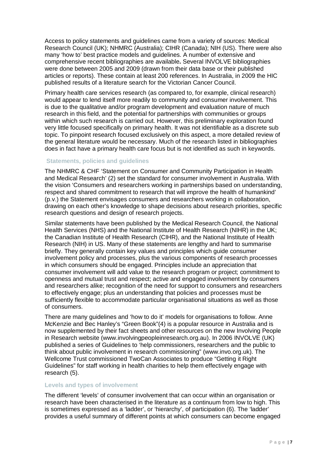Access to policy statements and guidelines came from a variety of sources: Medical Research Council (UK); NHMRC (Australia); CIHR (Canada); NIH (US). There were also many 'how to' best practice models and guidelines. A number of extensive and comprehensive recent bibliographies are available**.** Several INVOLVE bibliographies were done between 2005 and 2009 (drawn from their data base or their published articles or reports). These contain at least 200 references. In Australia, in 2009 the HIC published results of a literature search for the Victorian Cancer Council.

Primary health care services research (as compared to, for example, clinical research) would appear to lend itself more readily to community and consumer involvement. This is due to the qualitative and/or program development and evaluation nature of much research in this field, and the potential for partnerships with communities or groups within which such research is carried out. However, this preliminary exploration found very little focused specifically on primary health. It was not identifiable as a discrete sub topic. To pinpoint research focused exclusively on this aspect, a more detailed review of the general literature would be necessary. Much of the research listed in bibliographies does in fact have a primary health care focus but is not identified as such in keywords.

#### <span id="page-6-0"></span>**Statements, policies and guidelines**

The NHMRC & CHF 'Statement on Consumer and Community Participation in Health and Medical Research' [\(2\)](#page-26-1) set the standard for consumer involvement in Australia. With the vision 'Consumers and researchers working in partnerships based on understanding, respect and shared commitment to research that will improve the health of humankind' (p.v.) the Statement envisages consumers and researchers working in collaboration, drawing on each other's knowledge to shape decisions about research priorities, specific research questions and design of research projects.

Similar statements have been published by the Medical Research Council, the National Health Services (NHS) and the National Institute of Health Research (NIHR) in the UK; the Canadian Institute of Health Research (CIHR), and the National Institute of Health Research (NIH) in US. Many of these statements are lengthy and hard to summarise briefly. They generally contain key values and principles which guide consumer involvement policy and processes, plus the various components of research processes in which consumers should be engaged. Principles include an appreciation that consumer involvement will add value to the research program or project; commitment to openness and mutual trust and respect; active and engaged involvement by consumers and researchers alike; recognition of the need for support to consumers and researchers to effectively engage; plus an understanding that policies and processes must be sufficiently flexible to accommodate particular organisational situations as well as those of consumers.

There are many guidelines and 'how to do it' models for organisations to follow. Anne McKenzie and Bec Hanley's "Green Book"[\(4\)](#page-26-3) is a popular resource in Australia and is now supplemented by their fact sheets and other resources on the new Involving People in Research website (www.involvingpeopleinresearch.org.au). In 2006 INVOLVE (UK) published a series of Guidelines to 'help commissioners, researchers and the public to think about public involvement in research commissioning" (www.invo.org.uk). The Wellcome Trust commissioned TwoCan Associates to produce "Getting it Right Guidelines" for staff working in health charities to help them effectively engage with research [\(5\)](#page-26-4).

#### <span id="page-6-1"></span>**Levels and types of involvement**

The different 'levels' of consumer involvement that can occur within an organisation or research have been characterised in the literature as a continuum from low to high. This is sometimes expressed as a 'ladder', or 'hierarchy', of participation [\(6\)](#page-26-5). The 'ladder' provides a useful summary of different points at which consumers can become engaged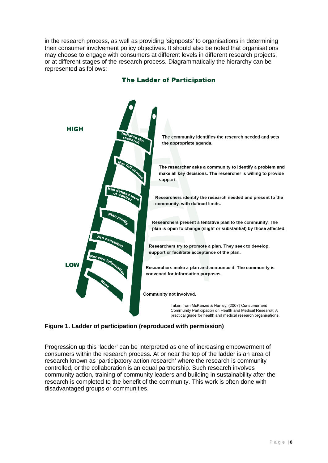in the research process, as well as providing 'signposts' to organisations in determining their consumer involvement policy objectives. It should also be noted that organisations may choose to engage with consumers at different levels in different research projects, or at different stages of the research process. Diagrammatically the hierarchy can be represented as follows:



#### **The Ladder of Participation**

**Figure 1. Ladder of participation (reproduced with permission)**

Progression up this 'ladder' can be interpreted as one of increasing empowerment of consumers within the research process. At or near the top of the ladder is an area of research known as 'participatory action research' where the research is community controlled, or the collaboration is an equal partnership. Such research involves community action, training of community leaders and building in sustainability after the research is completed to the benefit of the community. This work is often done with disadvantaged groups or communities.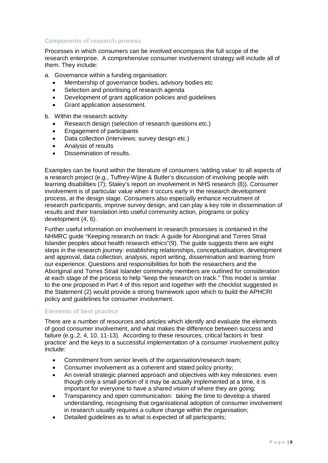#### <span id="page-8-0"></span>**Components of research process**

Processes in which consumers can be involved encompass the full scope of the research enterprise. A comprehensive consumer involvement strategy will include all of them. They include:

a. Governance within a funding organisation:

- Membership of governance bodies, advisory bodies etc.
- Selection and prioritising of research agenda
- Development of grant application policies and guidelines
- Grant application assessment.

b. Within the research activity:

- Research design (selection of research questions etc.)
- Engagement of participants
- Data collection (interviews; survey design etc.)
- Analysis of results
- Dissemination of results.

Examples can be found within the literature of consumers 'adding value' to all aspects of a research project (e.g., Tuffrey-Wijne & Butler's discussion of involving people with learning disabilities [\(7\)](#page-26-6); Staley's report on involvement in NHS research [\(8\)](#page-26-7)). Consumer involvement is of particular value when it occurs early in the research development process, at the design stage. Consumers also especially enhance recruitment of research participants, improve survey design, and can play a key role in dissemination of results and their translation into useful community action, programs or policy development [\(4,](#page-26-3) [6\)](#page-26-5).

Further useful information on involvement in research processes is contained in the NHMRC guide "Keeping research on track: A guide for Aboriginal and Torres Strait Islander peoples about health research ethics"[\(9\)](#page-26-8). The guide suggests there are eight steps in the research journey: establishing relationships, conceptualisation, development and approval, data collection, analysis, report writing, dissemination and learning from our experience. Questions and responsibilities for both the researchers and the Aboriginal and Torres Strait Islander community members are outlined for consideration at each stage of the process to help "keep the research on track." This model is similar to the one proposed in Part 4 of this report and together with the checklist suggested in the Statement [\(2\)](#page-26-1) would provide a strong framework upon which to build the APHCRI policy and guidelines for consumer involvement.

#### <span id="page-8-1"></span>**Elements of best practice**

There are a number of resources and articles which identify and evaluate the elements of good consumer involvement, and what makes the difference between success and failure (e.g.[,2,](#page-26-1) [4,](#page-26-3) [10,](#page-26-9) [11-13\)](#page-26-10). According to these resources, critical factors in 'best practice' and the keys to a successful implementation of a consumer involvement policy include:

- Commitment from senior levels of the organisation/research team;
- Consumer involvement as a coherent and stated policy priority;
- An overall strategic planned approach and objectives with key milestones: even though only a small portion of it may be actually implemented at a time, it is important for everyone to have a shared vision of where they are going;
- Transparency and open communication: taking the time to develop a shared understanding, recognising that organisational adoption of consumer involvement in research usually requires a culture change within the organisation;
- Detailed guidelines as to what is expected of all participants;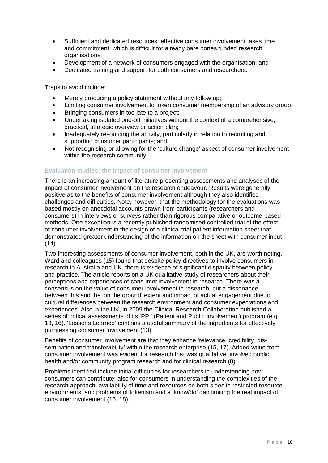- Sufficient and dedicated resources: effective consumer involvement takes time and commitment, which is difficult for already bare bones funded research organisations;
- Development of a network of consumers engaged with the organisation; and
- Dedicated training and support for both consumers and researchers.

Traps to avoid include:

- Merely producing a policy statement without any follow up;
- Limiting consumer involvement to token consumer membership of an advisory group;
- Bringing consumers in too late to a project:
- Undertaking isolated one-off initiatives without the context of a comprehensive, practical, strategic overview or action plan;
- Inadequately resourcing the activity, particularly in relation to recruiting and supporting consumer participants; and
- Not recognising or allowing for the 'culture change' aspect of consumer involvement within the research community.

#### <span id="page-9-0"></span>**Evaluation studies: the impact of consumer involvement**

There is an increasing amount of literature presenting assessments and analyses of the impact of consumer involvement on the research endeavour. Results were generally positive as to the benefits of consumer involvement although they also identified challenges and difficulties. Note, however, that the methodology for the evaluations was based mostly on anecdotal accounts drawn from participants (researchers and consumers) in interviews or surveys rather than rigorous comparative or outcome-based methods. One exception is a recently published randomised controlled trial of the effect of consumer involvement in the design of a clinical trial patient information sheet that demonstrated greater understanding of the information on the sheet with consumer input  $(14)$ .

Two interesting assessments of consumer involvement, both in the UK, are worth noting. Ward and colleagues [\(15\)](#page-26-12) found that despite policy directives to involve consumers in research in Australia and UK, there is evidence of significant disparity between policy and practice. The article reports on a UK qualitative study of researchers about their perceptions and experiences of consumer involvement in research. There was a consensus on the value of consumer involvement in research, but a dissonance between this and the 'on the ground' extent and impact of actual engagement due to cultural differences between the research environment and consumer expectations and experiences. Also in the UK, in 2009 the Clinical Research Collaboration published a series of critical assessments of its 'PPI' (Patient and Public Involvement) program (e.g., [13,](#page-26-13) [16\)](#page-26-14). 'Lessons Learned' contains a useful summary of the ingredients for effectively progressing consumer involvement [\(13\)](#page-26-13).

Benefits of consumer involvement are that they enhance 'relevance, credibility, dissemination and transferability' within the research enterprise [\(15,](#page-26-12) [17\)](#page-26-15). Added value from consumer involvement was evident for research that was qualitative, involved public health and/or community program research and for clinical research [\(8\)](#page-26-7).

Problems identified include initial difficulties for researchers in understanding how consumers can contribute; also for consumers in understanding the complexities of the research approach; availability of time and resources on both sides in restricted resource environments; and problems of tokenism and a 'know/do' gap limiting the real impact of consumer involvement [\(15,](#page-26-12) [18\)](#page-26-16).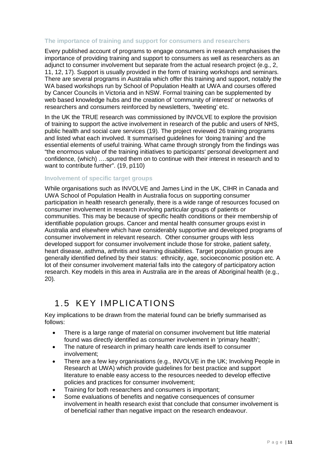#### <span id="page-10-0"></span>**The importance of training and support for consumers and researchers**

Every published account of programs to engage consumers in research emphasises the importance of providing training and support to consumers as well as researchers as an adjunct to consumer involvement but separate from the actual research project (e.g., [2,](#page-26-1) [11,](#page-26-10) [12,](#page-26-17) [17\)](#page-26-15). Support is usually provided in the form of training workshops and seminars. There are several programs in Australia which offer this training and support, notably the WA based workshops run by School of Population Health at UWA and courses offered by Cancer Councils in Victoria and in NSW. Formal training can be supplemented by web based knowledge hubs and the creation of 'community of interest' or networks of researchers and consumers reinforced by newsletters, 'tweeting' etc.

In the UK the TRUE research was commissioned by INVOLVE to explore the provision of training to support the active involvement in research of the public and users of NHS, public health and social care services [\(19\)](#page-26-18). The project reviewed 26 training programs and listed what each involved. It summarised guidelines for 'doing training' and the essential elements of useful training. What came through strongly from the findings was "the enormous value of the training initiatives to participants' personal development and confidence, (which) ….spurred them on to continue with their interest in research and to want to contribute further". [\(19, p110\)](#page-26-18)

#### <span id="page-10-1"></span>**Involvement of specific target groups**

While organisations such as INVOLVE and James Lind in the UK, CIHR in Canada and UWA School of Population Health in Australia focus on supporting consumer participation in health research generally, there is a wide range of resources focused on consumer involvement in research involving particular groups of patients or communities. This may be because of specific health conditions or their membership of identifiable population groups. Cancer and mental health consumer groups exist in Australia and elsewhere which have considerably supportive and developed programs of consumer involvement in relevant research. Other consumer groups with less developed support for consumer involvement include those for stroke, patient safety, heart disease, asthma, arthritis and learning disabilities. Target population groups are generally identified defined by their status: ethnicity, age, socioeconomic position etc. A lot of their consumer involvement material falls into the category of participatory action research. Key models in this area in Australia are in the areas of Aboriginal health [\(e.g.,](#page-27-0)  [20\)](#page-27-0)*.* 

### <span id="page-10-2"></span>1.5 KEY IMPLICATIONS

Key implications to be drawn from the material found can be briefly summarised as follows:

- There is a large range of material on consumer involvement but little material found was directly identified as consumer involvement in 'primary health';
- The nature of research in primary health care lends itself to consumer involvement;
- There are a few key organisations (e.g., INVOLVE in the UK; Involving People in Research at UWA) which provide guidelines for best practice and support literature to enable easy access to the resources needed to develop effective policies and practices for consumer involvement;
- Training for both researchers and consumers is important;
- Some evaluations of benefits and negative consequences of consumer involvement in health research exist that conclude that consumer involvement is of beneficial rather than negative impact on the research endeavour.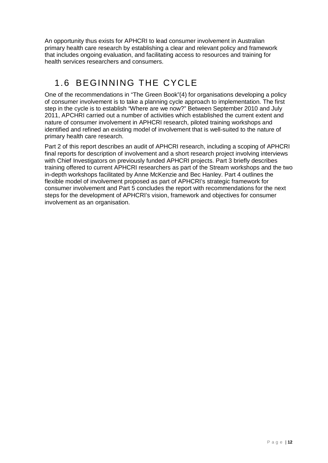An opportunity thus exists for APHCRI to lead consumer involvement in Australian primary health care research by establishing a clear and relevant policy and framework that includes ongoing evaluation, and facilitating access to resources and training for health services researchers and consumers.

# <span id="page-11-0"></span>1.6 BEGINNING THE CYCLE

One of the recommendations in "The Green Book"[\(4\)](#page-26-3) for organisations developing a policy of consumer involvement is to take a planning cycle approach to implementation. The first step in the cycle is to establish "Where are we now?" Between September 2010 and July 2011, APCHRI carried out a number of activities which established the current extent and nature of consumer involvement in APHCRI research, piloted training workshops and identified and refined an existing model of involvement that is well-suited to the nature of primary health care research.

Part 2 of this report describes an audit of APHCRI research, including a scoping of APHCRI final reports for description of involvement and a short research project involving interviews with Chief Investigators on previously funded APHCRI projects. Part 3 briefly describes training offered to current APHCRI researchers as part of the Stream workshops and the two in-depth workshops facilitated by Anne McKenzie and Bec Hanley. Part 4 outlines the flexible model of involvement proposed as part of APHCRI's strategic framework for consumer involvement and Part 5 concludes the report with recommendations for the next steps for the development of APHCRI's vision, framework and objectives for consumer involvement as an organisation.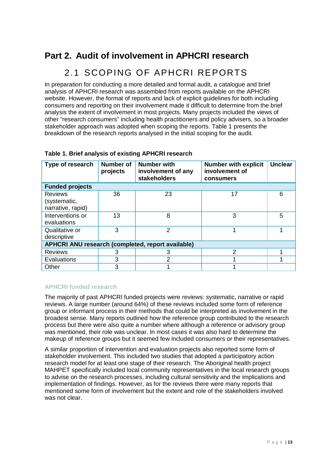### <span id="page-12-0"></span>**Part 2. Audit of involvement in APHCRI research**

### 2.1 SCOPING OF APHCRI REPORTS

<span id="page-12-1"></span>In preparation for conducting a more detailed and formal audit, a catalogue and brief analysis of APHCRI research was assembled from reports available on the APHCRI website. However, the format of reports and lack of explicit guidelines for both including consumers and reporting on their involvement made it difficult to determine from the brief analysis the extent of involvement in most projects. Many projects included the views of other "research consumers" including health practitioners and policy advisers, so a broader stakeholder approach was adopted when scoping the reports. Table 1 presents the breakdown of the research reports analysed in the initial scoping for the audit.

| Type of research                                         | <b>Number of</b><br>projects | <b>Number with</b><br>involvement of any<br>stakeholders | <b>Number with explicit</b><br>involvement of<br>consumers | <b>Unclear</b> |  |  |  |
|----------------------------------------------------------|------------------------------|----------------------------------------------------------|------------------------------------------------------------|----------------|--|--|--|
| <b>Funded projects</b>                                   |                              |                                                          |                                                            |                |  |  |  |
| <b>Reviews</b><br>(systematic,<br>narrative, rapid)      | 36                           | 23                                                       | 17                                                         | 6              |  |  |  |
| Interventions or<br>evaluations                          | 13                           | 8                                                        | 3                                                          | 5              |  |  |  |
| Qualitative or<br>descriptive                            | 3                            | 2                                                        |                                                            |                |  |  |  |
| <b>APHCRI ANU research (completed, report available)</b> |                              |                                                          |                                                            |                |  |  |  |
| <b>Reviews</b>                                           | З                            | З                                                        | 2                                                          |                |  |  |  |
| Evaluations                                              | 3                            | 2                                                        |                                                            |                |  |  |  |
| Other                                                    | 3                            |                                                          |                                                            |                |  |  |  |

#### **Table 1. Brief analysis of existing APHCRI research**

#### <span id="page-12-2"></span>**APHCRI funded research**

The majority of past APHCRI funded projects were reviews: systematic, narrative or rapid reviews. A large number (around 64%) of these reviews included some form of reference group or informant process in their methods that could be interpreted as involvement in the broadest sense. Many reports outlined how the reference group contributed to the research process but there were also quite a number where although a reference or advisory group was mentioned, their role was unclear. In most cases it was also hard to determine the makeup of reference groups but it seemed few included consumers or their representatives.

A similar proportion of intervention and evaluation projects also reported some form of stakeholder involvement. This included two studies that adopted a participatory action research model for at least one stage of their research. The Aboriginal health project MAHPET specifically included local community representatives in the local research groups to advise on the research processes, including cultural sensitivity and the implications and implementation of findings. However, as for the reviews there were many reports that mentioned some form of involvement but the extent and role of the stakeholders involved was not clear.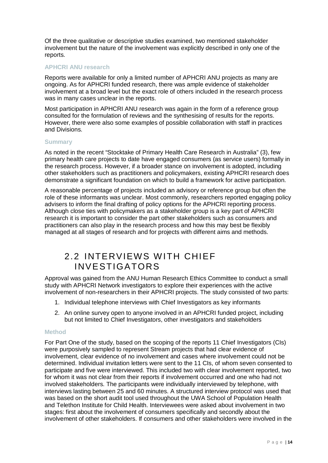Of the three qualitative or descriptive studies examined, two mentioned stakeholder involvement but the nature of the involvement was explicitly described in only one of the reports.

#### <span id="page-13-0"></span>**APHCRI ANU research**

Reports were available for only a limited number of APHCRI ANU projects as many are ongoing. As for APHCRI funded research, there was ample evidence of stakeholder involvement at a broad level but the exact role of others included in the research process was in many cases unclear in the reports.

Most participation in APHCRI ANU research was again in the form of a reference group consulted for the formulation of reviews and the synthesising of results for the reports. However, there were also some examples of possible collaboration with staff in practices and Divisions.

#### <span id="page-13-1"></span>**Summary**

As noted in the recent "Stocktake of Primary Health Care Research in Australia" [\(3\)](#page-26-2), few primary health care projects to date have engaged consumers (as service users) formally in the research process. However, if a broader stance on involvement is adopted, including other stakeholders such as practitioners and policymakers, existing APHCRI research does demonstrate a significant foundation on which to build a framework for active participation.

A reasonable percentage of projects included an advisory or reference group but often the role of these informants was unclear. Most commonly, researchers reported engaging policy advisers to inform the final drafting of policy options for the APHCRI reporting process. Although close ties with policymakers as a stakeholder group is a key part of APHCRI research it is important to consider the part other stakeholders such as consumers and practitioners can also play in the research process and how this may best be flexibly managed at all stages of research and for projects with different aims and methods.

### <span id="page-13-2"></span>2.2 INTERVIEWS WITH CHIEF INVESTIGATORS

Approval was gained from the ANU Human Research Ethics Committee to conduct a small study with APHCRI Network investigators to explore their experiences with the active involvement of non-researchers in their APHCRI projects. The study consisted of two parts:

- 1. Individual telephone interviews with Chief Investigators as key informants
- 2. An online survey open to anyone involved in an APHCRI funded project, including but not limited to Chief Investigators, other investigators and stakeholders

#### <span id="page-13-3"></span>**Method**

For Part One of the study, based on the scoping of the reports 11 Chief Investigators (CIs) were purposively sampled to represent Stream projects that had clear evidence of involvement, clear evidence of no involvement and cases where involvement could not be determined. Individual invitation letters were sent to the 11 CIs, of whom seven consented to participate and five were interviewed. This included two with clear involvement reported, two for whom it was not clear from their reports if involvement occurred and one who had not involved stakeholders. The participants were individually interviewed by telephone, with interviews lasting between 25 and 60 minutes. A structured interview protocol was used that was based on the short audit tool used throughout the UWA School of Population Health and Telethon Institute for Child Health. Interviewees were asked about involvement in two stages: first about the involvement of consumers specifically and secondly about the involvement of other stakeholders. If consumers and other stakeholders were involved in the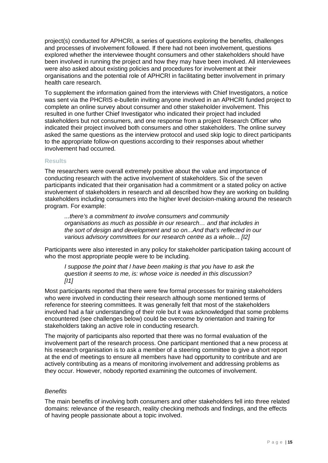project(s) conducted for APHCRI, a series of questions exploring the benefits, challenges and processes of involvement followed. If there had not been involvement, questions explored whether the interviewee thought consumers and other stakeholders should have been involved in running the project and how they may have been involved. All interviewees were also asked about existing policies and procedures for involvement at their organisations and the potential role of APHCRI in facilitating better involvement in primary health care research.

To supplement the information gained from the interviews with Chief Investigators, a notice was sent via the PHCRIS e-bulletin inviting anyone involved in an APHCRI funded project to complete an online survey about consumer and other stakeholder involvement. This resulted in one further Chief Investigator who indicated their project had included stakeholders but not consumers, and one response from a project Research Officer who indicated their project involved both consumers and other stakeholders. The online survey asked the same questions as the interview protocol and used skip logic to direct participants to the appropriate follow-on questions according to their responses about whether involvement had occurred.

#### <span id="page-14-0"></span>**Results**

The researchers were overall extremely positive about the value and importance of conducting research with the active involvement of stakeholders. Six of the seven participants indicated that their organisation had a commitment or a stated policy on active involvement of stakeholders in research and all described how they are working on building stakeholders including consumers into the higher level decision-making around the research program. For example:

*...there's a commitment to involve consumers and community organisations as much as possible in our research… and that includes in the sort of design and development and so on...And that's reflected in our various advisory committees for our research centre as a whole... [I2]*

Participants were also interested in any policy for stakeholder participation taking account of who the most appropriate people were to be including.

*I* suppose the point that *I* have been making is that you have to ask the *question it seems to me, is: whose voice is needed in this discussion? [I1]*

Most participants reported that there were few formal processes for training stakeholders who were involved in conducting their research although some mentioned terms of reference for steering committees. It was generally felt that most of the stakeholders involved had a fair understanding of their role but it was acknowledged that some problems encountered (see challenges below) could be overcome by orientation and training for stakeholders taking an active role in conducting research.

The majority of participants also reported that there was no formal evaluation of the involvement part of the research process. One participant mentioned that a new process at his research organisation is to ask a member of a steering committee to give a short report at the end of meetings to ensure all members have had opportunity to contribute and are actively contributing as a means of monitoring involvement and addressing problems as they occur. However, nobody reported examining the outcomes of involvement.

#### *Benefits*

The main benefits of involving both consumers and other stakeholders fell into three related domains: relevance of the research, reality checking methods and findings, and the effects of having people passionate about a topic involved.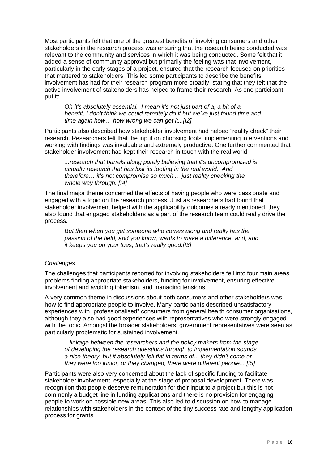Most participants felt that one of the greatest benefits of involving consumers and other stakeholders in the research process was ensuring that the research being conducted was relevant to the community and services in which it was being conducted. Some felt that it added a sense of community approval but primarily the feeling was that involvement, particularly in the early stages of a project, ensured that the research focused on priorities that mattered to stakeholders. This led some participants to describe the benefits involvement has had for their research program more broadly, stating that they felt that the active involvement of stakeholders has helped to frame their research. As one participant put it:

*Oh it's absolutely essential. I mean it's not just part of a, a bit of a benefit, I don't think we could remotely do it but we've just found time and time again how… how wrong we can get it...[I2]*

Participants also described how stakeholder involvement had helped "reality check" their research. Researchers felt that the input on choosing tools, implementing interventions and working with findings was invaluable and extremely productive. One further commented that stakeholder involvement had kept their research in touch with the real world:

*...research that barrels along purely believing that it's uncompromised is actually research that has lost its footing in the real world. And therefore… it's not compromise so much ... just reality checking the whole way through. [I4]*

The final major theme concerned the effects of having people who were passionate and engaged with a topic on the research process. Just as researchers had found that stakeholder involvement helped with the applicability outcomes already mentioned, they also found that engaged stakeholders as a part of the research team could really drive the process.

*But then when you get someone who comes along and really has the passion of the field, and you know, wants to make a difference, and, and it keeps you on your toes, that's really good.[I3]*

#### *Challenges*

The challenges that participants reported for involving stakeholders fell into four main areas: problems finding appropriate stakeholders, funding for involvement, ensuring effective involvement and avoiding tokenism, and managing tensions.

A very common theme in discussions about both consumers and other stakeholders was how to find appropriate people to involve. Many participants described unsatisfactory experiences with "professionalised" consumers from general health consumer organisations, although they also had good experiences with representatives who were strongly engaged with the topic. Amongst the broader stakeholders, government representatives were seen as particularly problematic for sustained involvement.

*...linkage between the researchers and the policy makers from the stage of developing the research questions through to implementation sounds a nice theory, but it absolutely fell flat in terms of... they didn't come or they were too junior, or they changed, there were different people... [I5]*

Participants were also very concerned about the lack of specific funding to facilitate stakeholder involvement, especially at the stage of proposal development. There was recognition that people deserve remuneration for their input to a project but this is not commonly a budget line in funding applications and there is no provision for engaging people to work on possible new areas. This also led to discussion on how to manage relationships with stakeholders in the context of the tiny success rate and lengthy application process for grants.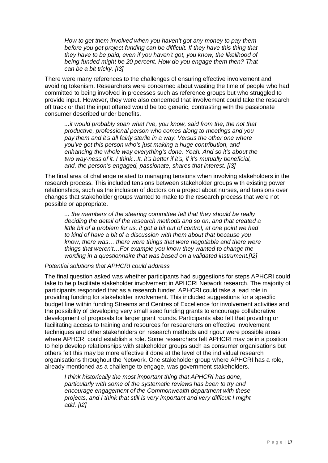*How to get them involved when you haven't got any money to pay them before you get project funding can be difficult. If they have this thing that they have to be paid, even if you haven't got, you know, the likelihood of being funded might be 20 percent. How do you engage them then? That can be a bit tricky. [I3]*

There were many references to the challenges of ensuring effective involvement and avoiding tokenism. Researchers were concerned about wasting the time of people who had committed to being involved in processes such as reference groups but who struggled to provide input. However, they were also concerned that involvement could take the research off track or that the input offered would be too generic, contrasting with the passionate consumer described under benefits.

*...it would probably span what I've, you know, said from the, the not that productive, professional person who comes along to meetings and you*  pay them and it's all fairly sterile in a way. Versus the other one where *you've got this person who's just making a huge contribution, and enhancing the whole way everything's done. Yeah. And so it's about the two way-ness of it. I think...It, it's better if it's, if it's mutually beneficial, and, the person's engaged, passionate, shares that interest. [I3]*

The final area of challenge related to managing tensions when involving stakeholders in the research process. This included tensions between stakeholder groups with existing power relationships, such as the inclusion of doctors on a project about nurses, and tensions over changes that stakeholder groups wanted to make to the research process that were not possible or appropriate.

*... the members of the steering committee felt that they should be really deciding the detail of the research methods and so on, and that created a little bit of a problem for us, it got a bit out of control, at one point we had to kind of have a bit of a discussion with them about that because you know, there was… there were things that were negotiable and there were things that weren't…For example you know they wanted to change the wording in a questionnaire that was based on a validated instrument.[I2]*

#### *Potential solutions that APHCRI could address*

The final question asked was whether participants had suggestions for steps APHCRI could take to help facilitate stakeholder involvement in APHCRI Network research. The majority of participants responded that as a research funder, APHCRI could take a lead role in providing funding for stakeholder involvement. This included suggestions for a specific budget line within funding Streams and Centres of Excellence for involvement activities and the possibility of developing very small seed funding grants to encourage collaborative development of proposals for larger grant rounds. Participants also felt that providing or facilitating access to training and resources for researchers on effective involvement techniques and other stakeholders on research methods and rigour were possible areas where APHCRI could establish a role. Some researchers felt APHCRI may be in a position to help develop relationships with stakeholder groups such as consumer organisations but others felt this may be more effective if done at the level of the individual research organisations throughout the Network. One stakeholder group where APHCRI has a role, already mentioned as a challenge to engage, was government stakeholders.

*I think historically the most important thing that APHCRI has done, particularly with some of the systematic reviews has been to try and encourage engagement of the Commonwealth department with these projects, and I think that still is very important and very difficult I might add. [I2]*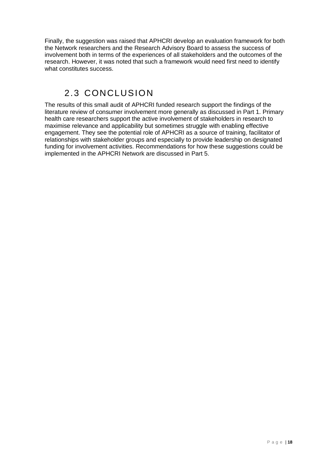Finally, the suggestion was raised that APHCRI develop an evaluation framework for both the Network researchers and the Research Advisory Board to assess the success of involvement both in terms of the experiences of all stakeholders and the outcomes of the research. However, it was noted that such a framework would need first need to identify what constitutes success.

# 2.3 CONCLUSION

<span id="page-17-0"></span>The results of this small audit of APHCRI funded research support the findings of the literature review of consumer involvement more generally as discussed in Part 1. Primary health care researchers support the active involvement of stakeholders in research to maximise relevance and applicability but sometimes struggle with enabling effective engagement. They see the potential role of APHCRI as a source of training, facilitator of relationships with stakeholder groups and especially to provide leadership on designated funding for involvement activities. Recommendations for how these suggestions could be implemented in the APHCRI Network are discussed in Part 5.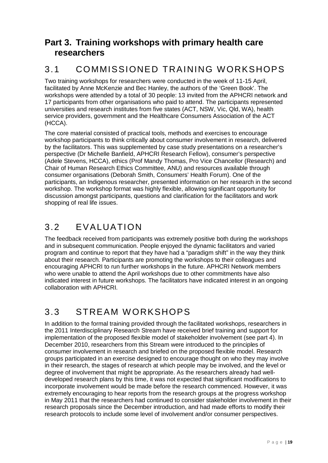### <span id="page-18-0"></span>**Part 3. Training workshops with primary health care researchers**

# <span id="page-18-1"></span>3.1 COMMISSIONED TRAINING WORKSHOPS

Two training workshops for researchers were conducted in the week of 11-15 April, facilitated by Anne McKenzie and Bec Hanley, the authors of the 'Green Book'. The workshops were attended by a total of 30 people: 13 invited from the APHCRI network and 17 participants from other organisations who paid to attend. The participants represented universities and research institutes from five states (ACT, NSW, Vic, Qld, WA), health service providers, government and the Healthcare Consumers Association of the ACT (HCCA).

The core material consisted of practical tools, methods and exercises to encourage workshop participants to think critically about consumer involvement in research, delivered by the facilitators. This was supplemented by case study presentations on a researcher's perspective (Dr Michelle Banfield, APHCRI Research Fellow), consumer's perspective (Adele Stevens, HCCA), ethics (Prof Mandy Thomas, Pro Vice Chancellor (Research) and Chair of Human Research Ethics Committee, ANU) and resources available through consumer organisations (Deborah Smith, Consumers' Health Forum). One of the participants, an Indigenous researcher, presented information on her research in the second workshop. The workshop format was highly flexible, allowing significant opportunity for discussion amongst participants, questions and clarification for the facilitators and work shopping of real life issues.

### <span id="page-18-2"></span>3.2 EVALUATION

The feedback received from participants was extremely positive both during the workshops and in subsequent communication. People enjoyed the dynamic facilitators and varied program and continue to report that they have had a "paradigm shift" in the way they think about their research. Participants are promoting the workshops to their colleagues and encouraging APHCRI to run further workshops in the future. APHCRI Network members who were unable to attend the April workshops due to other commitments have also indicated interest in future workshops. The facilitators have indicated interest in an ongoing collaboration with APHCRI.

# <span id="page-18-3"></span>3.3 STREAM WORKSHOPS

In addition to the formal training provided through the facilitated workshops, researchers in the 2011 Interdisciplinary Research Stream have received brief training and support for implementation of the proposed flexible model of stakeholder involvement (see part 4). In December 2010, researchers from this Stream were introduced to the principles of consumer involvement in research and briefed on the proposed flexible model. Research groups participated in an exercise designed to encourage thought on who they may involve in their research, the stages of research at which people may be involved, and the level or degree of involvement that might be appropriate. As the researchers already had welldeveloped research plans by this time, it was not expected that significant modifications to incorporate involvement would be made before the research commenced. However, it was extremely encouraging to hear reports from the research groups at the progress workshop in May 2011 that the researchers had continued to consider stakeholder involvement in their research proposals since the December introduction, and had made efforts to modify their research protocols to include some level of involvement and/or consumer perspectives.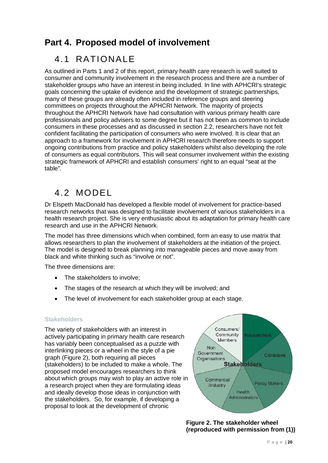### <span id="page-19-0"></span>**Part 4. Proposed model of involvement**

### <span id="page-19-1"></span>4.1 RATIONALE

As outlined in Parts 1 and 2 of this report, primary health care research is well suited to consumer and community involvement in the research process and there are a number of stakeholder groups who have an interest in being included. In line with APHCRI's strategic goals concerning the uptake of evidence and the development of strategic partnerships, many of these groups are already often included in reference groups and steering committees on projects throughout the APHCRI Network. The majority of projects throughout the APHCRI Network have had consultation with various primary health care professionals and policy advisers to some degree but it has not been as common to include consumers in these processes and as discussed in section 2.2, researchers have not felt confident facilitating the participation of consumers who were involved. It is clear that an approach to a framework for involvement in APHCRI research therefore needs to support ongoing contributions from practice and policy stakeholders whilst also developing the role of consumers as equal contributors. This will seat consumer involvement within the existing strategic framework of APHCRI and establish consumers' right to an equal "seat at the table".

### <span id="page-19-2"></span>4.2 MODEL

Dr Elspeth MacDonald has developed a flexible model of involvement for practice-based research networks that was designed to facilitate involvement of various stakeholders in a health research project. She is very enthusiastic about its adaptation for primary health care research and use in the APHCRI Network.

The model has three dimensions which when combined, form an easy to use matrix that allows researchers to plan the involvement of stakeholders at the initiation of the project. The model is designed to break planning into manageable pieces and move away from black and white thinking such as "involve or not".

The three dimensions are:

- The stakeholders to involve:
- The stages of the research at which they will be involved; and
- The level of involvement for each stakeholder group at each stage.

#### <span id="page-19-3"></span>**Stakeholders**

The variety of stakeholders with an interest in actively participating in primary health care research has variably been conceptualised as a puzzle with interlinking pieces or a wheel in the style of a pie graph (Figure 2), both requiring all pieces (stakeholders) to be included to make a whole. The proposed model encourages researchers to think about which groups may wish to play an active role in a research project when they are formulating ideas and ideally develop those ideas in conjunction with the stakeholders. So, for example, if developing a proposal to look at the development of chronic



**Figure 2. The stakeholder wheel (reproduced with permission from [\(1\)](#page-26-19))**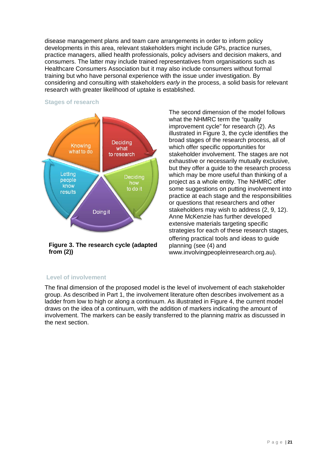disease management plans and team care arrangements in order to inform policy developments in this area, relevant stakeholders might include GPs, practice nurses, practice managers, allied health professionals, policy advisers and decision makers, and consumers. The latter may include trained representatives from organisations such as Healthcare Consumers Association but it may also include consumers without formal training but who have personal experience with the issue under investigation. By considering and consulting with stakeholders *early* in the process, a solid basis for relevant research with greater likelihood of uptake is established.



<span id="page-20-0"></span>**Stages of research**

**Figure 3. The research cycle (adapted from [\(2\)](#page-26-1))**

The second dimension of the model follows what the NHMRC term the "quality" improvement cycle" for research [\(2\)](#page-26-1). As illustrated in Figure 3, the cycle identifies the broad stages of the research process, all of which offer specific opportunities for stakeholder involvement. The stages are not exhaustive or necessarily mutually exclusive, but they offer a guide to the research process which may be more useful than thinking of a project as a whole entity. The NHMRC offer some suggestions on putting involvement into practice at each stage and the responsibilities or questions that researchers and other stakeholders may wish to address [\(2,](#page-26-1) [9,](#page-26-8) [12\)](#page-26-17). Anne McKenzie has further developed extensive materials targeting specific strategies for each of these research stages, offering practical tools and ideas to guide planning (see [\(4\)](#page-26-3) and www.involvingpeopleinresearch.org.au).

#### <span id="page-20-1"></span>**Level of involvement**

The final dimension of the proposed model is the level of involvement of each stakeholder group. As described in Part 1, the involvement literature often describes involvement as a ladder from low to high or along a continuum. As illustrated in Figure 4, the current model draws on the idea of a continuum, with the addition of markers indicating the amount of involvement. The markers can be easily transferred to the planning matrix as discussed in the next section.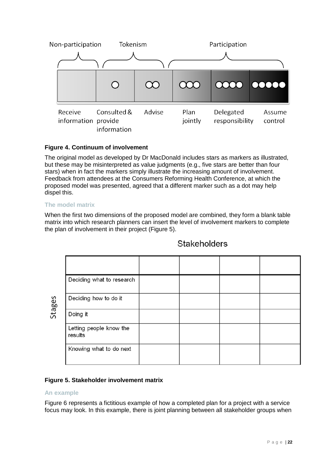

#### **Figure 4. Continuum of involvement**

The original model as developed by Dr MacDonald includes stars as markers as illustrated, but these may be misinterpreted as value judgments (e.g., five stars are better than four stars) when in fact the markers simply illustrate the increasing amount of involvement. Feedback from attendees at the Consumers Reforming Health Conference, at which the proposed model was presented, agreed that a different marker such as a dot may help dispel this.

#### <span id="page-21-0"></span>**The model matrix**

When the first two dimensions of the proposed model are combined, they form a blank table matrix into which research planners can insert the level of involvement markers to complete the plan of involvement in their project (Figure 5).

### **Stakeholders**

| Deciding what to research          |  |  |
|------------------------------------|--|--|
| Deciding how to do it              |  |  |
| Doing it                           |  |  |
| Letting people know the<br>results |  |  |
| Knowing what to do next            |  |  |

#### **Figure 5. Stakeholder involvement matrix**

#### <span id="page-21-1"></span>**An example**

Stages

Figure 6 represents a fictitious example of how a completed plan for a project with a service focus may look. In this example, there is joint planning between all stakeholder groups when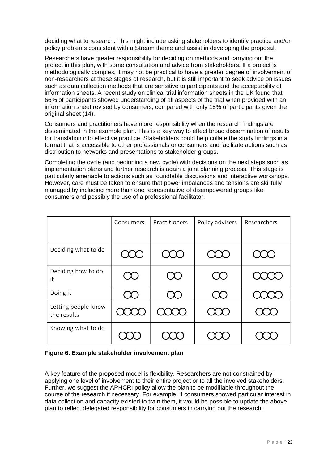deciding what to research. This might include asking stakeholders to identify practice and/or policy problems consistent with a Stream theme and assist in developing the proposal.

Researchers have greater responsibility for deciding on methods and carrying out the project in this plan, with some consultation and advice from stakeholders. If a project is methodologically complex, it may not be practical to have a greater degree of involvement of non-researchers at these stages of research, but it is still important to seek advice on issues such as data collection methods that are sensitive to participants and the acceptability of information sheets. A recent study on clinical trial information sheets in the UK found that 66% of participants showed understanding of all aspects of the trial when provided with an information sheet revised by consumers, compared with only 15% of participants given the original sheet [\(14\)](#page-26-11).

Consumers and practitioners have more responsibility when the research findings are disseminated in the example plan. This is a key way to effect broad dissemination of results for translation into effective practice. Stakeholders could help collate the study findings in a format that is accessible to other professionals or consumers and facilitate actions such as distribution to networks and presentations to stakeholder groups.

Completing the cycle (and beginning a new cycle) with decisions on the next steps such as implementation plans and further research is again a joint planning process. This stage is particularly amenable to actions such as roundtable discussions and interactive workshops. However, care must be taken to ensure that power imbalances and tensions are skillfully managed by including more than one representative of disempowered groups like consumers and possibly the use of a professional facilitator.

|                                    | Consumers | Practitioners | Policy advisers | Researchers |
|------------------------------------|-----------|---------------|-----------------|-------------|
|                                    |           |               |                 |             |
| Deciding what to do                |           |               |                 |             |
| Deciding how to do<br>it           |           |               |                 |             |
| Doing it                           |           |               |                 |             |
| Letting people know<br>the results |           |               |                 |             |
| Knowing what to do                 |           |               |                 |             |

#### **Figure 6. Example stakeholder involvement plan**

A key feature of the proposed model is flexibility. Researchers are not constrained by applying one level of involvement to their entire project or to all the involved stakeholders. Further, we suggest the APHCRI policy allow the plan to be modifiable throughout the course of the research if necessary. For example, if consumers showed particular interest in data collection and capacity existed to train them, it would be possible to update the above plan to reflect delegated responsibility for consumers in carrying out the research.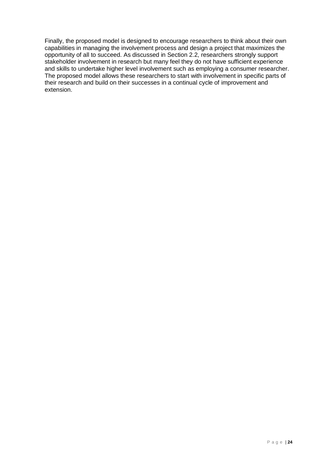Finally, the proposed model is designed to encourage researchers to think about their own capabilities in managing the involvement process and design a project that maximizes the opportunity of all to succeed. As discussed in Section 2.2, researchers strongly support stakeholder involvement in research but many feel they do not have sufficient experience and skills to undertake higher level involvement such as employing a consumer researcher. The proposed model allows these researchers to start with involvement in specific parts of their research and build on their successes in a continual cycle of improvement and extension.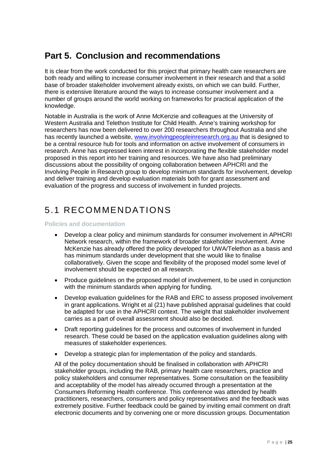# <span id="page-24-0"></span>**Part 5. Conclusion and recommendations**

It is clear from the work conducted for this project that primary health care researchers are both ready and willing to increase consumer involvement in their research and that a solid base of broader stakeholder involvement already exists, on which we can build. Further, there is extensive literature around the ways to increase consumer involvement and a number of groups around the world working on frameworks for practical application of the knowledge.

Notable in Australia is the work of Anne McKenzie and colleagues at the University of Western Australia and Telethon Institute for Child Health. Anne's training workshop for researchers has now been delivered to over 200 researchers throughout Australia and she has recently launched a website, [www.involvingpeopleinresearch.org.au](http://www.involvingpeopleinresearch.org.au/) that is designed to be a central resource hub for tools and information on active involvement of consumers in research. Anne has expressed keen interest in incorporating the flexible stakeholder model proposed in this report into her training and resources. We have also had preliminary discussions about the possibility of ongoing collaboration between APHCRI and the Involving People in Research group to develop minimum standards for involvement, develop and deliver training and develop evaluation materials both for grant assessment and evaluation of the progress and success of involvement in funded projects.

# <span id="page-24-1"></span>5.1 RECOMMENDATIONS

#### <span id="page-24-2"></span>**Policies and documentation**

- Develop a clear policy and minimum standards for consumer involvement in APHCRI Network research, within the framework of broader stakeholder involvement. Anne McKenzie has already offered the policy developed for UWA/Telethon as a basis and has minimum standards under development that she would like to finalise collaboratively. Given the scope and flexibility of the proposed model some level of involvement should be expected on all research.
- Produce quidelines on the proposed model of involvement, to be used in conjunction with the minimum standards when applying for funding.
- Develop evaluation guidelines for the RAB and ERC to assess proposed involvement in grant applications. Wright et al [\(21\)](#page-27-1) have published appraisal guidelines that could be adapted for use in the APHCRI context. The weight that stakeholder involvement carries as a part of overall assessment should also be decided.
- Draft reporting guidelines for the process and outcomes of involvement in funded research. These could be based on the application evaluation guidelines along with measures of stakeholder experiences.
- Develop a strategic plan for implementation of the policy and standards.

All of the policy documentation should be finalised in collaboration with APHCRI stakeholder groups, including the RAB, primary health care researchers, practice and policy stakeholders and consumer representatives. Some consultation on the feasibility and acceptability of the model has already occurred through a presentation at the Consumers Reforming Health conference. This conference was attended by health practitioners, researchers, consumers and policy representatives and the feedback was extremely positive. Further feedback could be gained by inviting email comment on draft electronic documents and by convening one or more discussion groups. Documentation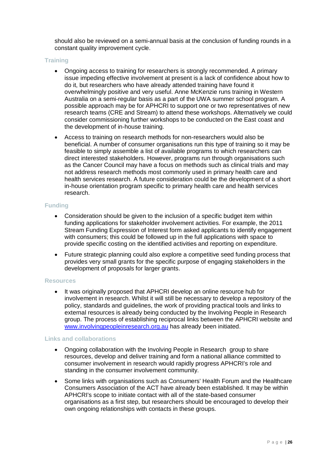should also be reviewed on a semi-annual basis at the conclusion of funding rounds in a constant quality improvement cycle.

#### <span id="page-25-0"></span>**Training**

- Ongoing access to training for researchers is strongly recommended. A primary issue impeding effective involvement at present is a lack of confidence about how to do it, but researchers who have already attended training have found it overwhelmingly positive and very useful. Anne McKenzie runs training in Western Australia on a semi-regular basis as a part of the UWA summer school program. A possible approach may be for APHCRI to support one or two representatives of new research teams (CRE and Stream) to attend these workshops. Alternatively we could consider commissioning further workshops to be conducted on the East coast and the development of in-house training.
- Access to training on research methods for non-researchers would also be beneficial. A number of consumer organisations run this type of training so it may be feasible to simply assemble a list of available programs to which researchers can direct interested stakeholders. However, programs run through organisations such as the Cancer Council may have a focus on methods such as clinical trials and may not address research methods most commonly used in primary health care and health services research. A future consideration could be the development of a short in-house orientation program specific to primary health care and health services research.

#### <span id="page-25-1"></span>**Funding**

- Consideration should be given to the inclusion of a specific budget item within funding applications for stakeholder involvement activities. For example, the 2011 Stream Funding Expression of Interest form asked applicants to identify engagement with consumers; this could be followed up in the full applications with space to provide specific costing on the identified activities and reporting on expenditure.
- Future strategic planning could also explore a competitive seed funding process that provides very small grants for the specific purpose of engaging stakeholders in the development of proposals for larger grants.

#### <span id="page-25-2"></span>**Resources**

It was originally proposed that APHCRI develop an online resource hub for involvement in research. Whilst it will still be necessary to develop a repository of the policy, standards and guidelines, the work of providing practical tools and links to external resources is already being conducted by the Involving People in Research group. The process of establishing reciprocal links between the APHCRI website and [www.involvingpeopleinresearch.org.au](http://www.involvingpeopleinresearch.org.au/) has already been initiated.

#### <span id="page-25-3"></span>**Links and collaborations**

- Ongoing collaboration with the Involving People in Research group to share resources, develop and deliver training and form a national alliance committed to consumer involvement in research would rapidly progress APHCRI's role and standing in the consumer involvement community.
- Some links with organisations such as Consumers' Health Forum and the Healthcare Consumers Association of the ACT have already been established. It may be within APHCRI's scope to initiate contact with all of the state-based consumer organisations as a first step, but researchers should be encouraged to develop their own ongoing relationships with contacts in these groups.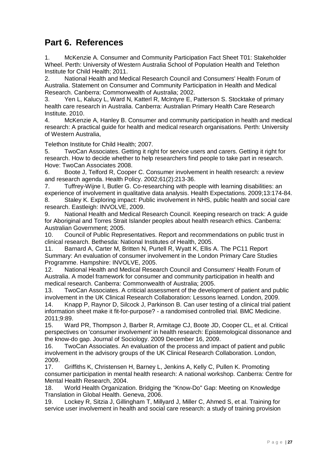### <span id="page-26-0"></span>**Part 6. References**

<span id="page-26-19"></span>1. McKenzie A. Consumer and Community Participation Fact Sheet T01: Stakeholder Wheel. Perth: University of Western Australia School of Population Health and Telethon Institute for Child Health; 2011.

<span id="page-26-1"></span>2. National Health and Medical Research Council and Consumers' Health Forum of Australia. Statement on Consumer and Community Participation in Health and Medical Research. Canberra: Commonwealth of Australia; 2002.

<span id="page-26-2"></span>3. Yen L, Kalucy L, Ward N, Katterl R, McIntyre E, Patterson S. Stocktake of primary health care research in Australia. Canberra: Australian Primary Health Care Research Institute. 2010.

<span id="page-26-3"></span>4. McKenzie A, Hanley B. Consumer and community participation in health and medical research: A practical guide for health and medical research organisations. Perth: University of Western Australia,

Telethon Institute for Child Health; 2007.

<span id="page-26-4"></span>5. TwoCan Associates. Getting it right for service users and carers. Getting it right for research. How to decide whether to help researchers find people to take part in research. Hove: TwoCan Associates 2008.

<span id="page-26-5"></span>6. Boote J, Telford R, Cooper C. Consumer involvement in health research: a review and research agenda. Health Policy. 2002;61(2):213-36.

<span id="page-26-6"></span>7. Tuffrey-Wijne I, Butler G. Co-researching with people with learning disabilities: an experience of involvement in qualitative data analysis. Health Expectations. 2009;13:174-84.

<span id="page-26-7"></span>8. Staley K. Exploring impact: Public involvement in NHS, public health and social care research. Eastleigh: INVOLVE, 2009.

<span id="page-26-8"></span>9. National Health and Medical Research Council. Keeping research on track: A guide for Aboriginal and Torres Strait Islander peoples about health research ethics. Canberra: Australian Government; 2005.

<span id="page-26-9"></span>10. Council of Public Representatives. Report and recommendations on public trust in clinical research. Bethesda: National Institutes of Health, 2005.

<span id="page-26-10"></span>11. Barnard A, Carter M, Britten N, Purtell R, Wyatt K, Ellis A. The PC11 Report Summary: An evaluation of consumer involvement in the London Primary Care Studies Programme. Hampshire: INVOLVE, 2005.

<span id="page-26-17"></span>12. National Health and Medical Research Council and Consumers' Health Forum of Australia. A model framework for consumer and community participation in health and medical research. Canberra: Commonwealth of Australia; 2005.

<span id="page-26-13"></span>13. TwoCan Associates. A criticial assessment of the development of patient and public involvement in the UK Clinical Research Collaboration: Lessons learned. London, 2009.

<span id="page-26-11"></span>14. Knapp P, Raynor D, Silcock J, Parkinson B. Can user testing of a clinical trial patient information sheet make it fit-for-purpose? - a randomised controlled trial. BMC Medicine. 2011;9:89.

<span id="page-26-12"></span>15. Ward PR, Thompson J, Barber R, Armitage CJ, Boote JD, Cooper CL, et al. Critical perspectives on 'consumer involvement' in health research: Epistemological dissonance and the know-do gap. Journal of Sociology. 2009 December 16, 2009.<br>16. TwoCan Associates. An evaluation of the process and impar-

<span id="page-26-14"></span>TwoCan Associates. An evaluation of the process and impact of patient and public involvement in the advisory groups of the UK Clinical Research Collaboration. London, 2009.

<span id="page-26-15"></span>17. Griffiths K, Christensen H, Barney L, Jenkins A, Kelly C, Pullen K. Promoting consumer participation in mental health research: A national workshop. Canberra: Centre for Mental Health Research, 2004.

<span id="page-26-16"></span>18. World Health Organization. Bridging the "Know-Do" Gap: Meeting on Knowledge Translation in Global Health. Geneva, 2006.

<span id="page-26-18"></span>19. Lockey R, Sitzia J, Gillingham T, Millyard J, Miller C, Ahmed S, et al. Training for service user involvement in health and social care research: a study of training provision